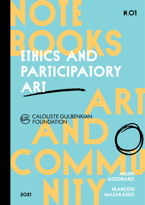N.01

# BIG RAIS ART **PARTICIPATORY** Art



NOTE

COMMUNIST Arlene **GOIDBARD** 

NITY François **MAIARASSO** 

2021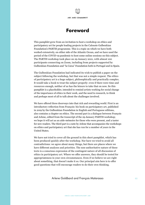

# Foreword

This pamphlet grew from an invitation to host a workshop on ethics and participatory art for people leading projects in the Calouste Gulbenkian Foundation's PARTIS programme. This is a topic on which we have both worked extensively, on either side of the Atlantic Ocean, and we have used the period of the COVID-19 pandemic to host some online sessions on this subject. The PARTIS workshop took place on 29 January 2021, with almost 100 participants connecting on Zoom, including from projects supported by Gulbenkian Foundation and "la Caixa" Foundation both in Portugal and in Spain.

The Gulbenkian Foundation had indicated its wish to publish a paper on the subject following the workshop, but that was not a simple request. The ethics of participatory art is a huge subject, philosophically and practically complex. It would take a book to treat the subject properly: even if there were time and resources enough, neither of us has the leisure to take that on now. So this pamphlet is a placeholder, intended to remind artists working for social change of the importance of ethics in their work, and the need to research, to think and perhaps most of all to talk about the challenges involved.

We have offered three doorways into that rich and rewarding world. First is an introductory reflection from François: his book on participatory art, published in 2019 by the Gulbenkian Foundation in English and Portuguese editions, also contains a chapter on ethics. The second part is a dialogue between François and Arlene, edited from the transcript of the 29 January PARTIS workshop; we hope it will act as an aide-mémoire for those who were present, and a taster for new readers. The third part is a note by Arlene that accompanies the workshops on ethics and participatory art that she has run for a number of years in the United States.

We have not tried to cover all the ground in this short pamphlet, which has been produced quickly after the workshop. Nor have we tried to avoid all contradictions: we agree about many things, but there are places where we have different analyses and priorities. The non-authoritative nature of these texts is a conscious expression of the contingent nature of all discussion of ethics in participatory art. Where we offer answers, they should be tested for appropriateness in your own circumstances. Even if we believe we are right about something, that doesn't make it so. Our principal aim here is to offer good questions that will encourage readers to do their own thinking.

Arlene Goldbard and François Matarasso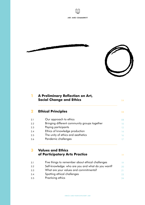





| <b>A Preliminary Reflection on Art,</b><br><b>Social Change and Ethics</b> |
|----------------------------------------------------------------------------|
| <b>Ethical Principles</b>                                                  |
| Our approach to ethics                                                     |
| Bringing different community groups together                               |
| Paying participants                                                        |
| Ethics of knowledge production                                             |
| The unity of ethics and aesthetics                                         |
| Pandemic challenges                                                        |
| <b>Values and Ethics</b><br>of Participatory Arts Practice                 |
| Five things to remember about ethical challenges                           |
|                                                                            |
| Self-knowledge: who are you and what do you want?                          |
| What are your values and commitments?                                      |
| Spotting ethical challenges                                                |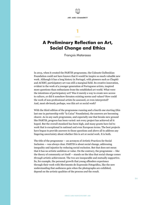

# 1

—

# A Preliminary Reflection on Art, Social Change and Ethics

François Matarasso

In 2013, when it created the PARTIS programme, the Calouste Gulbenkian Foundation could not have known that it would be inspire so much valuable new work. Although it has a long history in Portugal, with pioneers such as Chapitô and ACERT, participatory art was still a marginal field. Its creative innovation, evident in the work of a younger generation of Portuguese artists, inspired more questions than enthusiasm from the established art world. What were the intentions of participatory art? Was it merely a way to create new access to culture, or did it somehow threaten existing norms and values? How could the work of non-professional artists be assessed, or even interpreted? And, most obviously perhaps, was this art or social work?

With the third edition of the programme running and a fourth one starting (this last one in partnership with "la Caixa" Foundation), the answers are becoming clearer. As in any such programme, and especially one that breaks new ground like PARTIS, progress has been varied: not every project has achieved all it hoped. But the overall standard has been high, and many grants have led to work that is exceptional in national and even European terms. The best projects have begun to provide answers to those questions and above all to address any lingering uncertainty about whether this is art or social work. It is both.

The title of the programme — an acronym of Artistic Practices for Social Inclusion — was always clear. PARTIS is about social change, addressing inequality and injustice by reducing social exclusion. But that does not mean that it has no artistic ambition or value. On the contrary, the programme — like the theory of community art itself — stands on the idea that social change comes *through* artistic achievement. The two are inseparable and mutually supportive. So, for example, the personal growth that young offenders experience through their work with Movimento de Expressão Fotográfica, like the new understanding that audiences gain when the photographs are exhibited, depend on the artistic qualities of the process *and* the result.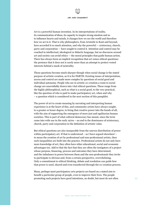Art is a powerful human invention. In its interpretations of reality, its communication of ideas, its capacity to inspire strong emotion and so to influence hearts and minds, it changes how we see the world and therefore how we act in it. That is why philosophers, from Aristotle to Kant and beyond, have accorded it so much attention, and why the powerful — aristocracy, church, party and corporation — have sought to control it. Attention and control may be couched in intellectual, ideological or didactic language, but no discourse around art and society can avoid ethics — the moral principles that guide human action. There has always been an implicit recognition that art raises ethical questions: the pretence that it does not is rarely more than an attempt to protect vested interests behind a mask of neutrality.

Those questions become much sharper though when social change is the stated purpose of artistic creation, as it is for PARTIS. Existing issues of interpretation, access and control are made more complex by questions of social good and individual autonomy. People who see in artistic co-creation a route to social change are unavoidably drawn into vital ethical questions. These range from the highly philosophical, such as what is a social good, to the very practical, like the question of who is paid to make participatory art, when and why – a question which is considered in the next section of this pamphlet.

The power of art to create meaning by narrating and interpreting human experience is at the heart of this, and community artists have always sought, to a greater or lesser degree, to bring that creative power into the hands of all, with the aim of supporting the emergence of more just and egalitarian human societies. This is part of what cultural democracy has meant, since the term came into wide use in the early 1970s – an end to the dominance of aristocracy, church, party and corporation in the definition of artistic value.

But ethical questions are also inseparable from the uneven distribution of power within participatory art. If that is understood  $-$  as I have argued elsewhere<sup>1</sup>  $$ to mean the creation of art by professional and non-professional artists, then such inequalities are built into the practice. Professional artists do not only have more knowledge of art; they often have other educational, social and economic advantages too. Add to that the fact that they are often the instigators of a project whose purpose, financing, process and outcomes they have determined, and the imbalance in power between them and the non-professionals they invite to participate is obvious and, from a certain perspective, overwhelming. Only a commitment to ethical thinking, debate and resolution can guide how that power is used, shared and even transferred through the co-creation process.

Many, perhaps most participatory arts projects are based on a stated aim to benefit a particular group of people, even to improve their lives. The people promoting such projects have good intentions, no doubt, but most do not often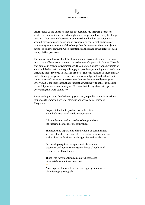

ask themselves the question that has preoccupied me through decades of work as a community artist: what right does one person have to try to change another? That question becomes even more difficult when participants whom I have often seen described in proposals as the 'target' audience or community — are unaware of the change that this music or theatre project is supposed to have on them. Good intentions cannot change the nature of such manipulative processes.

The answer is not to withhold the developmental possibilities of art. In French law, it is an offence not to come to the assistance of a person in danger. Though that applies in extreme circumstances, the obligation arises from a principle of social solidarity that could equally apply to people experiencing social exclusion, including those involved in PARTIS projects. The only solution in these morally and politically dangerous territories is to acknowledge and understand their importance and to co-create resolutions that can be accepted by everyone involved. It is for this reason that I insist that working with ethics is integral to participatory and community art. To deny that, in my view, is to oppose everything this work stands for.

It was such questions that led me, 25 years ago, to publish some basic ethical principles to underpin artistic interventions with a social purpose. They were:

> Projects intended to produce social benefits should address stated needs or aspirations.

—

—

—

—

—

It is unethical to seek to produce change without the informed consent of those involved.

The needs and aspirations of individuals or communities are best identified by them, often in partnership with others, such as local authorities, public agencies and arts bodies.

Partnership requires the agreement of common objectives and commitments (though not all goals need be shared by all partners).

Those who have identified a goal are best placed to ascertain when it has been met.

An arts project may not be the most appropriate means of achieving a given goal<sup>2</sup>.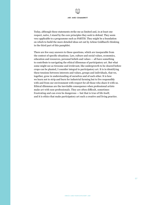

Today, although these statements strike me as limited and, in at least one respect, naïve, I stand by the core principles they seek to defend. They seem very applicable to a programme such as PARTIS. They might be a foundation on which to build the more detailed ideas set out by Arlene Goldbard's thinking in the third part of this pamphlet.

There are few easy answers to these questions, which are inseparable from the context of specific situations. Law, culture and social values, economics, education and resources, personal beliefs and values — all have something to contribute to navigating the ethical dilemmas of participatory art. But what some might see as tiresome and irrelevant, like undergrowth to be cleared before crops can be planted, I consider integral to participatory art. It is in identifying these tensions between interests and values, groups and individuals, that we, together, grow in understanding of ourselves and of each other. It is how we learn not to strip and burn for industrial farming but to live responsibly with and from our environment with respect for all those who share it with us. Ethical dilemmas are the inevitable consequence when professional artists make art with non-professionals. They are often difficult, sometimes frustrating and can even be dangerous — but that is true of life itself, and it is ethics that make participatory art such a creative and living practice.

07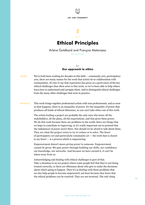

# — Ethical Principles

2

## Arlene Goldbard and François Matarasso (IN DIALOGUE)

## 2.1 Our approach to ethics

- We've both been working for decades in this field community arts, participatory arts, there are many names for the work that artists do in collaboration with communities. It's fair to say that experience has given us a good sense of the key ethical challenges that often arise in this work, so we've been able to help others learn how to understand and navigate them. And to distinguish ethical challenges from the many other challenges that arise in practice. ARLENE
- This work brings together professional artists with non-professionals, and as soon as that happens, there is an inequality of power. It's the inequality of power that produces all kinds of ethical dilemmas, so you can't take ethics out of this work. FRANÇOIS

The artists leading a project are probably the only ones who know all the stakeholders, all the plans, all the expectations, and that gives them power. We do this work because there are problems in the world, there are things that we hope to contribute to improving, so it's really important not to pretend that the imbalances of power aren't there. Nor should we be afraid to talk about them. They are what the project exists to try to reduce or to solve. The heart of participatory art and particularly community art — the work that is closest to my heart — is a process which is empowering.

Empowerment doesn't mean *giving* power to someone. Empowerment cannot be given. We gain power through building our skills, our confidence, our knowledge, our networks. And because we have earned it, it can't be taken away from us.

Acknowledging and dealing with ethical challenges is part of that. Take a situation in an art project where some people feel that they're not being treated correctly, or there are dilemmas about who gets to make the decisions about what's going to happen. Then it's in dealing with those problems that we also help people to become empowered, not least because they learn that the ethical problems *can* be resolved. They are not terminal. The only thing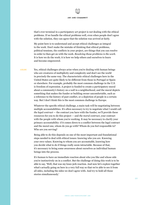that's ever terminal in a participatory art project is *not* dealing with the ethical problems. If we handle the ethical problems well, even when people don't agree with the solution, they can agree that the solution was arrived at fairly.

My point here is to understand and accept ethical challenges as integral to the work. Don't make the mistake of thinking that ethical problems, political tensions, the conflicts in your project, are things that you can resolve in order to then get on with the work. *Resolving those problems is the work*. It is how we do the work; it is how we help others and ourselves to learn and become empowered.

Yes, ethical challenges always arise when you're dealing with human beings who are creatures of multiplicity and complexity and don't see the world in precisely the same way. The characteristic ethical challenges here in the United States are quite likely to be different from those in Portugal or Spain or elsewhere. For example, probably the most common challenge in the U.S. is freedom of expression. A project is funded to create a participatory mural about a community's history on a wall in a neighborhood, and the mural depicts something that makes the funder or building owner uncomfortable, such as a reference to the history of past conflict, or a depiction of people in a certain way. But I don't think this is the most common challenge in Europe. ARLENE

> Whatever the specific ethical challenge, a main task will be negotiating between multiple accountabilities. It's often necessary to try to negotiate what I would call *the legal contract* — the contract you have with the funder, we'll provide these resources for you to do this project — and *the moral contract*, your contract with the people with whom you're working. It may be necessary to clarify your primary accountability: if it comes down to a conflict between the legal contract and the moral one, whom do you go with? Whom do you feel responsible to? Who are you serving?

Being able to do this depends on one of the most important and foundational steps needed to deal with ethical issues: knowing who you are. Knowing your own values. Knowing to whom you are accountable, knowing how you decide what to do if things really seem intractable. Because of that, it's necessary to bring some awareness about ourselves as individual human beings into the process.

It's human to have an immediate reaction about who you like and whose side you're instinctively on in a conflict. But the challenge of doing this work is to be able to say, 'Well, that was my knee-jerk reaction. And now let's explore together what's actually going on here in a very full way so that we're able to see it from all sides, including the sides we don't agree with. And try to hold all those stories simultaneously.'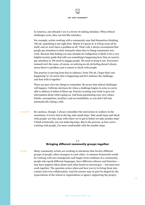

In America, one obstacle I see is a terror of making mistakes. When ethical challenges arise, they can feel like mistakes.

For example, artists working with a community may find themselves thinking, 'Oh-oh, something is not right here. Maybe if I ignore it, it will go away all by itself, and we won't have a problem at all.' That's why I always recommend that people pay attention to their stomachs when they're doing community arts work. Because that feeling you may mistake for indigestion is likely to be a very helpful anxiety guide that tells you something's happening here that we need to pay attention to. We need to engage people. We need to bring it out. Everyone's stomach isn't the same, of course, so noticing an oh-oh feeling doesn't always mean there's a problem, just a reason to check with people.

The practice is moving from fear to embrace, from 'Oh-oh, I hope that's not happening' to 'of course this is happening and let's embrace the challenge, and deal with it together.'

There are just a few key things to remember. Be aware that ethical challenges will happen. Cultivate alertness for when a challenge begins to arise so you're able to address it before it blows up. Practice trusting your body to give you information about what's going on. And keep questioning your own values, beliefs, assumptions, loyalties, and accountability, so you don't fall into automatically taking a side.

IRANÇOIS Be cautious, though. I always remember the instruction to walkers in the mountains: if you're lost in the fog, take small steps. Take small steps and check with people: are they okay with where we've got to before we take another step? I think artistically, you can make big leaps. But in the process, in how you're working with people, I'm more comfortable with the smaller steps.

### 2.2 Bringing different community groups together

Many community artists are working in situations that involve different groups of people, often strangers to each other. A common framework would be working with new immigrants and longer-term residents of a community, people who speak different languages, have different cultures and histories may have negative ideas about each other based on stereotypes — but must now work together. The question arises when and how you try to bring them into contact and even collaboration. And the answer may in part be shaped by the expectations of the school or organization or agency supporting the project. ARLENE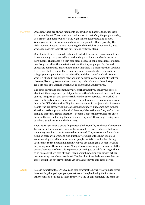Of course, there are always judgments about when and how to take such risks in community art. There can't be a fixed answer to that. Only the people working in a project can decide when it's the right time to take what kind of risk. When you feel it  $-$  in your stomach, as Arlene puts it  $-$  that's probably the right moment. But you have an advantage in the flexibility of community arts, where it's possible to try things out, to take tentative steps. **FRANÇOIS** 

> One of art's strengths is its deniability, by which I mean you can say something in art and deny that you said it, or rather deny that it meant what it seems to have meant. That makes it a very safe place because people can express opinions creatively that allow them to test what reaction they might get. So, I would encourage community artists not to think that there is a moment when you have to go from black to white. There may be a lot of moments where you do little things, you just put a foot in the other side, and then you take it back. You test what it's like to bring groups together, and adjust in consequence of what you discover, like a tightrope walker correcting their balance with each step. It's a process of transition which can go backwards and forwards.

> The other advantage of community arts work is that if you make your project about art, then people can participate because they're interested in art, and they can say things in art that they're frightened to say otherwise. I've worked in post-conflict situations, where agencies try to develop cross-community work. One of the difficulties with calling it a cross-community project is that it attracts people who are already willing to cross that boundary. But sometimes in those situations, artistic projects that don't have any label —that don't say we're about bringing these two groups together — become a space that everyone can enter, because they are not seeing themselves, and they don't think they're being seen by others, as taking a step which is risky.

> A few years ago, I saw a beautiful project called 'Home' by Banlieues Bleues<sup>3</sup> near Paris in which women with migrant backgrounds recorded lullabies that were then integrated into a performance they attended. They weren't confident about being on stage with everyone else, but they were part of the show. Lullabies are something that all cultures have, so people can talk to each other through such songs. You're not talking literally but you are talking in a deeper level and beginning to see the other person: 'I might have something in common with this person, because we share this experience of singing to our children to get them to go to sleep.' That's part of what I mean about how doing things with art can create safer spaces where people feel 'Yes, it's okay, I can be brave enough to go there, even if I'm not brave enough yet to talk directly to this other person.'

Scale is important too. Often, a good bridge project to bring two groups together is something that pairs people up one-to-one. Imagine having the kids from other countries be asked to video interview a kid of approximately the same age, ARLENE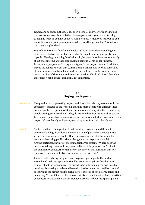

gender, and so on from the local group in a school, and vice versa. Pick topics that are not necessarily so volatile, for example, what is your favourite thing to eat, and what do you like about it? And how does it make you feel? Or do you know the story of your grandmother? Where was that person born? What was that time and place like?

Fear of immigrants is founded on ideological assertions: they're stealing our jobs; they're destroying our language, etc. But people one-to-one are still very capable of having a meaningful relationship, because those fears aren't actually about encountering another living human being is all his or her fullness. Face-to-face, people aren't living stereotypes. If the project is about food, then maybe the collective event that culminates it is asking kids to bring something of their heritage food from home and you have a lunch together one day, you watch the clips of the videos and celebrate together. This kind of work has a low threshold: it's fun and meaningful at the same time.

### 2.3 Paying participants

The question of compensating project participants is a relatively recent one, in my experience, perhaps as the work expands and more people with different ideas become involved. It presents different questions in everyday situations than for, say, people seeking asylum or living in highly restricted environments such as prisons. Even a token or symbolic payment can have a significant effect on people and on the project. It's an ethically ambiguous, even risky issue, from my point of view. FRANÇOIS

Context matters. It's important to ask questions, to understand the context before responding. How does the remuneration of particular participants sit within the way money is dealt with in the project as a whole? For example, are the artists being paid? Is there a budget for the project as a whole? Are the participants aware of those financial arrangements? Where does the decision-making power and the power to discuss this question rest? Is it with the community artists, the organizers of the project, the institution that hosts the project, or is it a collective decision involving everyone? ARLENE

> If it is possible to bring the question up to project participants, that's what I would tend to do. My approach would be to answer anything that they need to know about the economics of the project to help them make the best possible decisions. Discussing a real-world issue that involves their own livelihood as well as yours and the project itself is such a perfect exercise of self-determination and democracy. To me, if it's possible to have that discussion, it's better than the artists or sponsors trying to make the decision for everyone without their participation.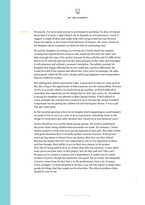Personally, I've never paid anyone to participate in anything I've done. It doesn't mean that it is never a right thing to do. It depends on circumstances. I want to suggest a couple of ideas that might help with trying to find the way forward. Yanis Varoufakis, is the former Greek Minister of Finance. He wrote a book for his daughter about economics in which he tells an interesting story. **FRANÇOIS** 

> He and his daughter are sitting at a taverna on a Greek island one summer evening and Captain Kostas comes to ask, would she dive into the water and help untangle the rope of his anchor, because he has arthritis and it's difficult for him to do it? And she gets up from her meal and goes in the water and untangles it with pleasure and without a moment's hesitation. Varoufakis reminds his daughter how happy offering this service made her, and how differently she would have felt if the captain had offered her a few euros in exchange. He talks about goods 'which fill life with a deeply satisfying happiness' and commodities that are traded for money.4

> He's talking here about experiential value. A great deal of what we value most in life, like a hug or the opportunity to help someone, are not commodities. Because we live in a society which is so much driven by markets, we find it difficult to remember how important are the things that we don't put a price on. Varoufakis is saying his daughter was pleased to help Captain Kostas. If he'd offered 10 euros, probably she wouldn't have wanted to do it, because the money wouldn't compensate her for getting her clothes wet and leaving her dinner. It was a gift that she could make.

> So the essential question is how do we imagine what's happening in a participatory art project? Do we see it as a job, or as an experience, something closer to the things we freely give each other because they reward us in non-financial ways?

> Artists should be very careful about paying anyone. We need to understand the power that's being wielded when payments are made. For instance, I know theatre projects in Italy who were paying migrants to take part. But what is done with good intentions here is actually another exercise of power. If the person you're giving money to doesn't have any money, then how can they refuse? Because the money that isn't very important to you is very important to them, and that changes their ability to act on their own choices in the project. Now they're being paid to do it, so, if they don't like you anymore, or they don't want you to use their story in this project, how do they pull out? They can't because you've created a contract and a dependency. It could even be a kind of abuse of power, though the intentions were good. But in reality, the inequality of power comes from the fact that I, as the professional, have a lot of money. I have a budget, I've been financed to do this. I can use this money to make other people do things that they might not do otherwise. The ethical problems there should be easy to see.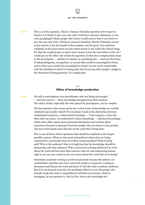This is a tricky question. There's a famous Talmudic question with respect to charity. Is it better to give one coin with a full heart and pure intentions, or ten coins grudgingly? Many people who I know would answer that it was better to give the one coin with a full heart and pure intention. But the Talmudic answer is that charity is for the benefit of the recipient, not the giver. Your spiritual condition at the point where you give them money is not really the critical thing. It's that the recipient gets 10 times more money to buy the necessities of life. So I would put on the other side of that the question of what does compensation mean to the participants — whether it's money or something else — what are the forms of acknowledgment, recognition, or reward that would be meaningful to them, and in what ways would it be meaningful to them? I'm not 100% comfortable with the situation in which I'm being paid, but I'm giving other people a nudge in the direction of being generous. It's complicated. ARLENE

### 2.4 Ethics of knowledge production

We talk to participatory arts practitioners who are being encouraged — and who want to — share knowledge emerging from their projects. The ethics of that, especially the roles played by participants, can be complex. ARLENE

> The first question that comes up for me is what forms of knowledge are socially validated and socially valued? It's essential to look at the distinction between credentialed expertise, *credentialed knowledge* — 'I have degrees, I have the titles after my name, I'm authorized to share knowledge' — and *lived knowledge*, which often offers much more profound information and wisdom about experience because it emanates from the people who are closest to the ground, who have their hands most directly on the work that's being done.

This is one of those ethical questions that should be explored in the largest possible context. What are the social and political values that are being expressed by a particular form of written communication? What is being said? Who is the audience? How is it implying that the knowledge should be interacting with that audience? Who is perceived as being authorized to write about the work and how does that contrast with our self-authorizing human right to say our own words in our own voices about the work that we're doing?

Sometimes academic writing is preferred precisely because the authors are credentialed. And they may have extremely positive reasons for wanting to document and discuss the work and share it with the wider academic audience. But if it's not framed correctly, the accidental effect is to see the people who actually made the work as unqualified to tell their own stories, which is damaging. So my question is, who is it for, who is the knowledge for?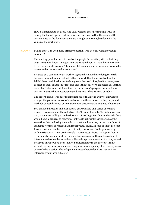How is it intended to be used? And also, whether there are multiple ways to convey the knowledge, so that form follows function, so that the values of the written piece or the documentation are strongly congruent, braided with the values of the work itself.

I think there's an even more primary question: who decides what knowledge is wanted? FRANÇOIS

> The starting point for me is to involve the people I'm working with in deciding what we want to know  $-$  not just how we want to know it  $-$  and how do we want to tell the story afterwards. A fundamental question is why does some knowledge matter and other knowledge not matter?

> I started as a community art worker. I gradually moved into doing research because I wanted to understand better the work that I was involved in, but I didn't have qualifications or training to do that work. I aspired for many years to meet an ideal of academic research and I think my work got better as I learned more. But I also saw that I lost touch with the work's purpose because I was writing in a way that most people *wouldn't* read. That was one paradox.

The other paradox was my fundamental belief that art is a way of knowledge. And yet the paradox is most of us who work in the arts use the languages and methods of social science or management to document and evaluate what we do.

So I changed direction and over several years worked on a series of creative research projects under the collective title, 'Regular Marvels'.5 My intention was that, if you were willing to make the effort of reading a few thousand words there would be no language, no concepts, that would artificially exclude you. At the same time I started using the methods of art and literature, rather than those of academic writing, to research and report what I found. In each of those projects I worked with a visual artist as part of that process, and I've begun working with participants — non-professionals — as co-researchers. I'm hoping that in a community opera project I'm now working on, some of the participants will interview each other, because they will say things to one another that they would not say to anyone who'd been involved professionally in the project.<sup>6</sup> I think we're at the beginning of understanding how we can open up all of those systems of knowledge creation. The independent researcher, Helen Kara, has written interestingly on these subjects.7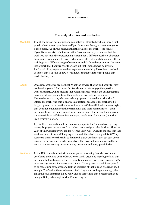

### 2.5 The unity of ethics and aesthetics

- I think the core of both ethics and aesthetics is integrity, by which I mean that you do what's true to you, because if you don't start there, you can't ever get to a good place. I've always believed that the ethics of the work — the values, if you like — are visible in its aesthetics. In other words, you can see that the work was not made by professional artists: it has a different aesthetic character because it's been opened to people who have a different sensibility and a different training and a different range of references and skills and experiences. I've seen lots of work that I admire over the years but that I would never do myself. But I would like people, when they experience something I have been involved in to feel that it speaks of how it was made, and the ethics of the people that made that together. **FRANÇOIS**
- Of course, aesthetics are political. What the powers-that-be find beautiful may not be what you or I find beautiful. We always have to engage the question: whose aesthetics, who's making that judgment? And for me, the authenticating answer is always coming from the people who are making the work. The aesthetics that they choose are in my opinion the aesthetics that should inform the work. And this is an ethical question, because if the work is to be judged by an external aesthetic — an idea of what's beautiful, what's meaningful, that does not emanate from the participants and their communities — then participants are not being treated as self-authorizing, they are not being given the same right of self-determination as you would want for yourself, and that is an ethical violation. ARLENE
	- I get in this conversation all the time with people in the States who are giving money for projects or who are from red-carpet prestige arts institutions. They say, 'A lot of this work isn't very good is it?' And I say, 'Gee, I went to the museum last week and a lot of the stuff hanging on the wall there isn't very good, is it?' They reserve to themselves the right to dictate what true aesthetics are, but part of our mission in the work we do is to deconstruct that arrogant assumption, so that we see that there are many beauties, many meanings and many possibilities.'
- In the U.K., there is a rhetoric about organizations being 'world-class,' about excellence and doing extraordinary work. And I often find myself, pricking that particular bubble by saying that by definition most art is average, because that's what average means. It's where most of it is. It's very rare in participatory work to do something extraordinary. But the corollary of that is good enough *is* good enough. That's what the words mean. And if my work can be good enough, then I'm satisfied. Sometimes I'll be lucky and do something that's better than good enough. But good enough is what I'm working for. **FRANCOIS**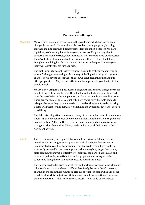

### 2.6 Pandemic challenges

Many ethical questions have arisen in the pandemic, which has forced great changes in our work. Community art is based on coming together, learning together, making together. But now people fear too much closeness. We have digital ways of meeting, but not everyone has access. People worry about perpetuating social barriers, about neglecting those most in need of connection. There's a feeling of urgency about the work, and often a feeling of not doing enough or not doing it right. And of course, these are the questions everyone is trying to deal with, not just our field. **FRANÇOIS** 

> The first thing is to accept reality. It's never helpful to feel guilty about things you can't change, because it gets in the way of dealing with things that you can change. So we have to accept the situation, we can't break the rules and put other people at risk. Maybe that is the first ethical principle: you don't put other people at risk.

We are discovering that digital access has good things and bad things. For some people it prevents access because they don't have the technology or they don't have the knowledge or the competence, but for other people it is enabling access. There are the projects where actually it's been easier for vulnerable people to take part because they have not needed to travel or they've not needed to bring a carer with them to take part. So it's changing the dynamics, but it isn't in itself a bad thing.

The field is turning attention to creative ways to work under these circumstances. There is a useful open source document on a 'Non-Digital Isolation Engagement' created by Take A Part in the U.K. listing many ideas and examples of ways to engage other than online.8 Everyone is invited to add their ideas to the document as well.

I loved discovering the cognitive bias called the 'Nirvana fallacy,' in which actually existing things are compared with ideal versions that can never be duplicated in real life. For example, the idealized version here would be a perfectly permeable transparent project where everybody regardless of age, state of mind, job status, political views, abilities, can participate equally and have an equal feeling of satisfaction and engagement and an equal desire to continue doing the work. But of course, no such thing exists. ARLENE

> The internalized judge gives us what they call performance anxiety, which makes it impossible for what we have to offer to flow freely, because there's a second channel in the brain that's running a critique of what I'm doing while I'm doing it. While all work is subject to criticism — we can all say sometimes that we've put our foot wrong — the reality is we're mostly trying to do our very best.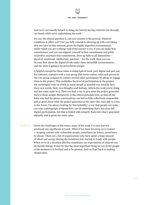And we're not usually helped in doing our best by having criticism run through our heads while we're undertaking the work.

For me, the ethical question is, can you commit to the present, whatever conditions it offers you? Can you fully commit to showing up with everything that you have in that moment, given the highly imperfect circumstances under which you are working? And if the answer is yes, if you can make that commitment, and you can support yourself in that commitment and guide yourself to maintain that commitment, show up fully in all dimensions physical, emotional, intellectual, spiritual — for the work, then you can do your best about the digital divide under these incredible circumstances, and the work is going to be powerful for people.

A helpful concept for these times is doing *hybrid* work, part digital and part not. For instance, a project with a core group that meets online, with each person in the core group assigned to contact several other participants by phone to engage them in the project. This multiplies the level of participation in the project, the meaningful ways in which as many people as possible can actually have their own words, their own thoughts and feelings, inform the work you're doing and feel some stake in it. Then you find a way to give what the project generates back to those people. Reciprocity is the ethical principle here, so that all the folks who had the phone conversations can feel as fully collectively responsible and as good about what the project generates as the ones who were able to come to the Zoom. I'm always looking for this hybridity: a way that people can write, can take a photograph of themselves, can do something that's less than full digital participation, but that is folded with integrity back into what's generated digitally, and is given the same value.

Given the challenges of the times, some of the work I've seen has not produced any significant artwork. What it has been focusing on is contact — keeping contact with vulnerable people, sometimes by letters, sometimes by phone. There are a lot of organizations who have spent a huge amount of effort and energy during the lockdown just staying in touch with people. When we're in a situation like this sometimes our expectations of what we can do should change. It may be that the most important thing we can do for people at the moment is to be kind and to be present. And we'll get back to making theatre later. FRANÇOIS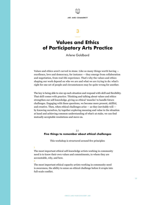

# 3

—

# Values and Ethics of Participatory Arts Practice

Arlene Goldbard

Values and ethics aren't carved in stone. Like so many things worth having excellence, love and democracy, for instance — they emerge from collaboration and negotiation, from real-life experience. That's why the values and ethics shaping our work depend on who we are and what we are trying to do: what's right for one set of people and circumstances may be quite wrong for another.

The key is being able to size up each situation and respond with skill and flexibility. That skill comes with practice. Thinking and talking about values and ethics strengthen our self-knowledge, giving us ethical 'muscles' to handle future challenges. Engaging with these questions, we become more present, skillful, and creative. Then, when ethical challenges arise — as they inevitably will by knowing ourselves, by together exploring meaning and value in the situation at hand and achieving common understanding of what's at stake, we can find mutually acceptable resolutions and move on.

### 3.1 Five things to remember about ethical challenges

This workshop is structured around five principles:

1

The most important ethical self-knowledge artists working in community need is to know their own values and commitments, to whom they are accountable, why, and how.

2

The most important ethical capacity artists working in community need is awareness, the ability to sense an ethical challenge before it erupts into full-scale conflict.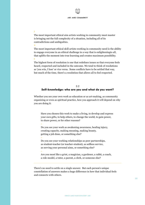The most important ethical aim artists working in community must master is bringing out the full complexity of a situation, including all of its contradictions and ambiguities.

The most important ethical skill artists working in community need is the ability to engage everyone in an ethical challenge in a way that is enlighteningto all, that uplifts the moment into true learning and creates maximum possibility. 5

The highest form of resolution is one that redefines issues so that everyone feels heard, respected and included in the outcome. We tend to think of resolutions as 'you win, I lose' or vice versa. Some conflicts have to be settled that way, but much of the time, there's a resolution that allows all to feel respected.

### 3.2 Self-knowledge: who are you and what do you want?

Whether you see your own work as education or as art-making, as community organizing or even as spiritual practice, how you approach it will depend on why you are doing it:

Have you chosen this work to make a living, to develop and express your own gifts, to help others, to change the world, to gain power, to share power, or for other reasons?

Do you see your work as awakening awareness, healing injury, creating capacity, making meaning, making beauty, getting a job done, or something else?

Do you see your working relationships as peer partnerships, as student-teacher (or teacher-student), as selfless service, as serving your personal aims, or something else?

Are you most like a griot, a magician, a gardener, a rabbi, a coach, a role-model, a tutor, a parent, a clerk, or someone else?

There's no need to settle on a single answer. But each person's unique constellation of answers makes a huge difference in how that individual feels and connects with others.

3

4

×

⨯

⨯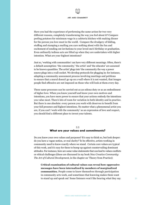

Have you had the experience of performing the same action for two very different reasons, completely transforming the way you feel about it? Compare peeling potatoes for minimum wage in a cafeteria kitchen with making dinner for the person you love most in the world. Compare the drudgery of folding, stuffing and stamping a mailing you care nothing about with the fun and excitement of sending out invitations to your loved one's birthday or graduation. Even ordinarily tedious acts are lifted up when they are undertaken with higher intention. What are your highest intentions?

Just so, 'working with communities' can have very different meanings. Often, there's a default assumption: 'the community,' 'the artist' and 'the educator' are assumed to be known quantities. The artist 'plugs into' the community the way a power source plugs into a wall-socket. We develop protocols for plugging in: for instance, adopting a community assessment process involving meetings and petitions to ensure that a mural doesn't go up on a wall where it is not wanted, that images people find offensive are not imposed on those who will look at them every day.

These same processes can be carried out as an odious duty or as an embodiment of higher love. When you know yourself and know your own motives and intentions, you have more power to ensure that your actions embody the intentions you value most. There's lots of room for variation in both identity and in practice. But there is one absolute: every person you work with deserves to benefit from your full presence and highest intentions. No matter what a phenomenal artist you are, if you can't 'work with the community' as an expression of love and respect, you should find a different place to invest your talents.

### 3.3 What are your values and commitments?

Do you know your own values and purposes? It's easy to think so, but look deeper: do you have a vague notion, or real clarity? To be effective, artists working in community need to know exactly where we stand. Certain core values are typical of this work, and it's easy for these to bump up against countervailing dominant attitudes. For instance, here are some value statements that can lead to values conflicts or ethical challenges (these are discussed in my book *New Creative Community: The Art of Cultural Development*, in the chapter on 'Theory from Practice):

**Critical examination of cultural values can reveal how oppressive messages have been internalized by members of marginalized communities.** People come to know themselves through participation in community arts work, and sometimes that knowing makes them want to stand up and speak out' Some listeners won't like hearing what they say.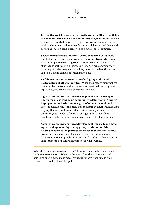×.

×

⨯

⨯

**Live, active social experience strengthens our ability to participate in democratic discourse and community life, whereas an excess of passive, isolated experience disempowers.** Community arts work can be a rehearsal for other forms of social action and democratic participation, so it can be perceived as a kind of social agitation. ×.

**Society will always be improved by the expansion of dialogue and by the active participation of all communities and groups in exploring and resolving social issues.** Not everyone wants all of us to take part in setting society's direction. When community arts work helps to raise marginalized voices, those who believe that a good citizen is a silent, compliant citizen may object.

**Self-determination is essential to the dignity and social participation of all communities.** When members of marginalized communities use community arts work to assert their own rights and aspirations, the powers-that-be may feel anxious.

**A goal of community cultural development work is to expand liberty for all, so long as no community's definition of 'liberty' impinges on the basic human rights of others.** In a culturally diverse society, conflict can arise over competing values: traditionalists may say that men and women should sit separately at an event, preserving each gender's decorum; but egalitarians may object, countering that separation impinges on their rights of association.

**A goal of community cultural development work is to promote equality of opportunity among groups and communities, helping to redress inequalities wherever they appear**. Injustice is often a strong motivator, but some resource-providers may not like drawing attention to problems or pressing for redress. They may want all messages to be positive, skipping over what's wrong.

What do these principles mean to you? Do you agree with these statements, or do some seem wrong? What are the core values that drive your work? Use some quiet time to make notes, returning to them from time to time to see if your feelings have changed.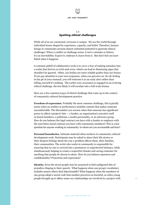### 3.4 Spotting ethical challenges

While all of us are connected, everyone is unique. We see the world through individual lenses shaped by experience, capacity, and belief. Therefore, human beings in community present almost unlimited potential to generate ethical challenges' When a conflict or challenge arises, it isn't a mistake or failure; it's an inevitability. Expect it; embrace it; learn from it. But don't feel you have failed when it happens.

A common pitfall of collaborative work is to carry a fear of making mistakes into a realm that thrives on trial-and-error, which can lead to dismissing signs that shouldn't be ignored. Often, our bodies are more reliable guides than our brains. If you pay attention to your own responses, when you perceive an 'oh-oh' feeling in the pit of your stomach, you will welcome it as an early alert rather than telling yourself it's nothing. The earlier your awareness is engaged in an evolving ethical challenge, the less likely it will escalate into a full-scale drama.

Here are a few common types of ethical challenge that come up in the context of community cultural development practice:

**Freedom of expression**. Probably the most common challenge, this typically arises when an artifact or performance includes content that makes someone uncomfortable. The discomfort can worsen when that someone has significant power to affect a project's fate — a funder, an organization's executive staff or board members, a politician, a media personality, or an advocacy group. How do you balance the legal contract you have with a funder or employer with the unwritten moral contract you have with community members? This is a key question for anyone working in community: to whom are you accountable and how?

**Personal boundaries.** Intimate material often surfaces in community cultural development work. Participants may be asked to share their life stories or their deepest feelings about the way a problem affects them, their families, their communities. The artist who works in community is responsible for ensuring that no one is coerced into a premature or unprotected intimacy, while simultaneously helping to create a respectful climate and caring container for anything that people do choose to share. How do you balance openness and confidentiality? Protection and expression?

**Identity.** Even the nicest people may be surprised to find undigested bits of prejudice clinging to their speech. What happens when one group's vocabulary includes names others find objectionable? What happens when the members of one group adopt a moral code that another perceives as harmful, as when young people brought up to abhor same-sex relationships are involved in a project with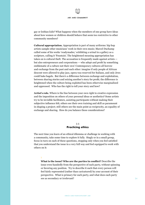gay or lesbian kids? What happens when the members of one group have ideas about how women or children should behave that seem too restrictive to other community members?

**Cultural appropriation.** Appropriation is part of many artforms: hip hop artists sample other musicians' work in their own music; Marcel Duchamp called some of his works 'readymades,' exhibiting a urinal in a gallery as a sculpture, calling it 'Fountain'. The heightened meaning appropriation has taken on is cultural theft. The accusation is frequently made against artists but also entrepreneurs and corporations — who adopt and profit by something emblematic of a culture not their own' Contemporary cultures all borrow and exchange from the past and each other: imagine if only people of African descent were allowed to play jazz, opera was reserved for Italians, and only Jews could bake bagels. But there's a difference between exchange and exploitation, between sharing stories and seizing another's story for profit; the difference is heightened when the culture being exploited has been otherwise marginalized and oppressed. Who has the right to tell your story and how?

**Artist's role.** Where is the line between your own right to creative expression and the imposition on others of your personal ideas or aesthetics? Some artists try to be invisible facilitators, assisting participants without making their subjective influence felt; others see their own training and skill as paramount in shaping a project; still others see the main point as reciprocity, an equality of exchange and sharing. How do you balance these considerations?

## 3.5 Practicing ethics

The next time you learn of an ethical dilemma or challenge in working with a community, take some time to explore it fully. Singly or in a small group, focus in turn on each of these questions, stopping only when you feel satisfied that you understand the issue in a very full way and feel equipped to work with others on it:

### 1

**What is the issue? Who are the parties in conflict?** Describe the issue even-handedly from the perspective of each party, without spinning or favoring any position. Try to describe it such that every person will feel fairly represented (rather than caricatured) by your account of their perspective. What is primary for each party, and what does each party see as secondary or irrelevant?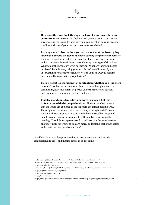2

**How does the issue look through the lens of your own values and commitments?** Do your own feelings lead you to a prefer a particular way of seeing the issue? Is there anything you might be missing because it conflicts with one of your own pet theories or core beliefs? 3

**List any and all observations you can make about the issue, going above and beyond whatever has been said by the parties in conflict.**  Imagine yourself as a visitor from another planet: how does the issue look to your newbie eyes? Does it resemble any other type of situation? What might the people involved be missing? What are their blind spots or biases? Include everything you can think of, even if some of your observations are directly contradictory' Can you see a way to reframe or redefine the issue so it's less polarized? 4

**List all possible resolutions to the situation, whether you like them or not.** Consider the implications of each: how each might affect the community, how each might be perceived by the interested parties, how each feels to you when you try it on for size. 5

**Finally, spend some time devising ways to share all of this information with the people involved.** How can you help ensure that the issues are explored to the fullest in the fairest possible way? This might call on your creative skills: Can you storyboard it? Create a Forum Theatre around it? Create a web dialogue? Call on respected people to represent certain elements of the controversy in a public meeting? Turn it into a spoken-word slam? How can the issue become an opportunity for everyone to learn more, understand each other better, and create the best possible outcome?

Good luck! May you always know who you are, choose your actions with compassion and care, and inspire others to do the same.

<sup>1</sup> Matarasso, F., 2019, A Restless Art, London: Calouste Gulbenkian Foundation, p. 48

<sup>2</sup> Matarasso, F. 1996, *Defining Values, Evaluating Arts Programmes*, Stroud: Comedia, p. 24

<sup>3</sup> https://www.banlieuesbleues.org

<sup>4</sup> Varoufakis, Y., 2017, *Talking to My Daughter, A Brief History of Capitalism*, Random House, p. 28

<sup>5</sup> https://regularmarvels.com/completed/

<sup>6</sup> https://www.traction-project.eu

<sup>7</sup> https://helenkara.com

<sup>8</sup> https://docs.google.com/document/d/1fiMx4BWWQ-stUAPVO4pwqU6iQhhbIqzgLx7cB6E1FrY/edit#!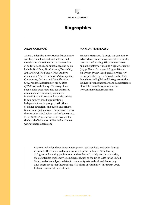# Biographies

### ARLENE GOLDBARD

Arlene Goldbard is a New Mexico-based writer, speaker, consultant, cultural activist, and visual artist whose focus is the intersection of culture, politics and spirituality. Her books include *The Wave*, *The Culture of Possibility: Art, Artists & The Future*; *New Creative Community: The Art of Cultural Development*, *Community*, *Culture and Globalization*, *Crossroads: Reflections on the Politics of Culture*, and *Clarity*. Her essays have been widely published. She has addressed academic and community audiences in the U.S. and Europe and provided advice to community-based organizations, independent media groups, institutions of higher education, and public and private funders and policymakers. From 2012 to 2019, she served as Chief Policy Wonk of the [USDAC](https://usdac.us/). From 2008-2019, she served as President of the Board of Directors of The Shalom Center. [www.arlenegoldbard.com](http://www.arlenegoldbard.com)

### Francois Matarasso

Francois Matarasso (b. 1958) is a community artist whose work embraces creative projects, research and writing. His previous books on participatory art include *Regular Marvels* (1994), *Use or Ornament?* (1997), *Where We Dream Dream* (2012) and *A Restless Art* (2019) published by the Calouste Gulbenkian Foundation in English and Portuguese editions. He lives in France nowadays and has experience of work in many European countries. [www.parliamentofdreams.com](https://parliamentofdreams.com/)

Francois and Arlene have never met in person, but they have long been familiar with each other's work and began working together online in 2019, hosting dialogues and creating publications on the ethics of participatory arts practice, the potential for public service employment such as the 1930s WPA in the United States, and other subjects related to community arts and cultural democracy. They began producing their podcast, "A Culture of Possibility," in January 2021. Listen at [miaaw.net](https://miaaw.net/) or on [iTunes.](https://podcasts.apple.com/us/podcast/miaaw-net/id1453675276)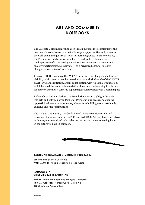

# Art and Community **NOTEBOOKS**

The Calouste Gulbenkian Foundation's main purpose is to contribute to the creation of a cohesive society that offers equal opportunities and promotes the well-being and quality of life of vulnerable groups. In order to do so, the Foundation has been working for over a decade to demonstrate the importance of art — setting up co-creation processes that encourage an active participation by everyone — as a privileged channel to foster change and social transformation.

In 2013, with the launch of the PARTIS initiative, this plan gained a broader visibility, which was in turn increased in 2020 with the launch of the PARTIS & Art for Change initiative, a joint collaboration with "la Caixa" Foundation, which boosted the work both foundations have been undertaking in this field for many years when it comes to supporting artistic projects with a social impact.

By launching these initiatives, the Foundation aims to highlight the civic role arts and culture play in Portugal. Democratizing access and opening up participation to everyone are key elements to building more sustainable, cohesive and just communities.

The *Art and Community Notebooks* intend to share considerations and learnings stemming from the PARTIS and PARTIS & Art for Change initiatives with everyone committed to broadening the horizon of art, renewing hope in the future we have in common.



### Gulbenkian Sustainable Development Programme

DIRICIOR Luís de Melo Jerónimo PARTIS managers Hugo de Seabra, Narcisa Costa

### Notebook N. 01 Ethics and Participatory Art

Authors Arlene Goldbard and François Matarasso Editorial production Narcisa Costa, Clara Vilar Design Andreia Constantino